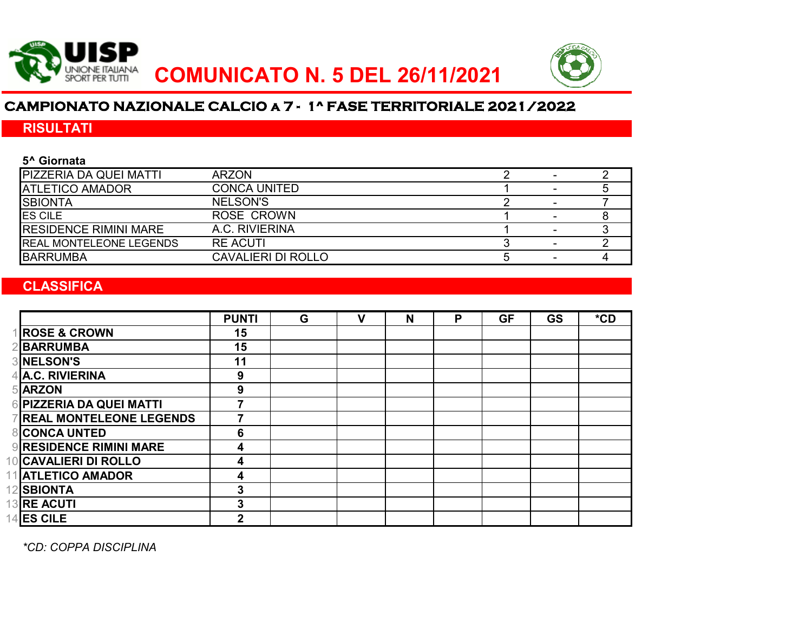



# **CAMPIONATO NAZIONALE CALCIO a 7 - 1^ FASE TERRITORIALE 2021/2022**

# **RISULTATI**

#### **5^ Giornata**

| <b>PIZZERIA DA QUEI MATTI</b>   | <b>ARZON</b>        |  |  |
|---------------------------------|---------------------|--|--|
| <b>ATLETICO AMADOR</b>          | <b>CONCA UNITED</b> |  |  |
| <b>ISBIONTA</b>                 | <b>NELSON'S</b>     |  |  |
| <b>ES CILE</b>                  | <b>ROSE CROWN</b>   |  |  |
| <b>IRESIDENCE RIMINI MARE</b>   | A.C. RIVIERINA      |  |  |
| <b>IREAL MONTELEONE LEGENDS</b> | <b>RE ACUTI</b>     |  |  |
| <b>BARRUMBA</b>                 | CAVALIERI DI ROLLO  |  |  |

## **CLASSIFICA**

|                                | <b>PUNTI</b> | G | v | N | P | <b>GF</b> | <b>GS</b> | $*$ CD |
|--------------------------------|--------------|---|---|---|---|-----------|-----------|--------|
| <b>ROSE &amp; CROWN</b>        | 15           |   |   |   |   |           |           |        |
| <b>BARRUMBA</b>                | 15           |   |   |   |   |           |           |        |
| <b>3 NELSON'S</b>              | 11           |   |   |   |   |           |           |        |
| 4 A.C. RIVIERINA               | 9            |   |   |   |   |           |           |        |
| 5 ARZON                        | 9            |   |   |   |   |           |           |        |
| <b>PIZZERIA DA QUEI MATTI</b>  |              |   |   |   |   |           |           |        |
| <b>REAL MONTELEONE LEGENDS</b> |              |   |   |   |   |           |           |        |
| <b>CONCA UNTED</b>             | 6            |   |   |   |   |           |           |        |
| <b>9 RESIDENCE RIMINI MARE</b> | 4            |   |   |   |   |           |           |        |
| 10 CAVALIERI DI ROLLO          | 4            |   |   |   |   |           |           |        |
| 11 ATLETICO AMADOR             | 4            |   |   |   |   |           |           |        |
| 12 SBIONTA                     | 3            |   |   |   |   |           |           |        |
| 13RE ACUTI                     | 3            |   |   |   |   |           |           |        |
| $14$ <b>ES CILE</b>            | $\mathbf{2}$ |   |   |   |   |           |           |        |

*\*CD: COPPA DISCIPLINA*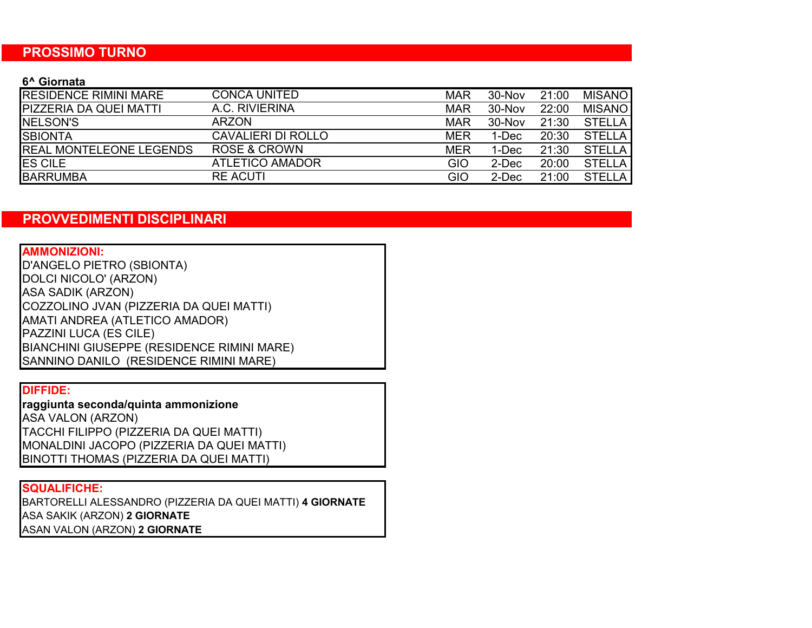#### **PROSSIMO TURNO**

#### **6^ Giornata**

| <b>IRESIDENCE RIMINI MARE</b>  | <b>CONCA UNITED</b>       | <b>MAR</b> | 30-Nov | 21:00 | <b>MISANO</b> |
|--------------------------------|---------------------------|------------|--------|-------|---------------|
| <b>PIZZERIA DA QUEI MATTI</b>  | A.C. RIVIERINA            | <b>MAR</b> | 30-Nov | 22:00 | <b>MISANO</b> |
| <b>INELSON'S</b>               | ARZON                     | <b>MAR</b> | 30-Nov | 21:30 | <b>STELLA</b> |
| <b>SBIONTA</b>                 | <b>CAVALIERI DI ROLLO</b> | <b>MER</b> | 1-Dec  | 20:30 | <b>STELLA</b> |
| <b>REAL MONTELEONE LEGENDS</b> | <b>ROSE &amp; CROWN</b>   | <b>MER</b> | 1-Dec  | 21:30 | <b>STELLA</b> |
| <b>ES CILE</b>                 | <b>ATLETICO AMADOR</b>    | <b>GIO</b> | 2-Dec  | 20:00 | <b>STELLA</b> |
| <b>BARRUMBA</b>                | <b>RE ACUTI</b>           | <b>GIO</b> | 2-Dec  | 21:00 | <b>STELLA</b> |

# **PROVVEDIMENTI DISCIPLINARI**

**AMMONIZIONI:** AMATI ANDREA (ATLETICO AMADOR) BIANCHINI GIUSEPPE (RESIDENCE RIMINI MARE) D'ANGELO PIETRO (SBIONTA) DOLCI NICOLO' (ARZON) ASA SADIK (ARZON) COZZOLINO JVAN (PIZZERIA DA QUEI MATTI) PAZZINI LUCA (ES CILE) SANNINO DANILO (RESIDENCE RIMINI MARE)

#### **DIFFIDE:**

**raggiunta seconda/quinta ammonizione** TACCHI FILIPPO (PIZZERIA DA QUEI MATTI) MONALDINI JACOPO (PIZZERIA DA QUEI MATTI) ASA VALON (ARZON) BINOTTI THOMAS (PIZZERIA DA QUEI MATTI)

## **SQUALIFICHE:**

BARTORELLI ALESSANDRO (PIZZERIA DA QUEI MATTI) **4 GIORNATE** ASA SAKIK (ARZON) **2 GIORNATE** ASAN VALON (ARZON) **2 GIORNATE**